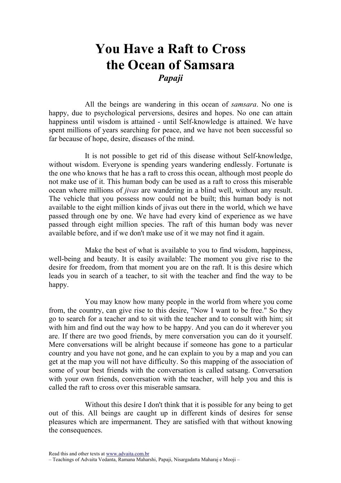## You Have a Raft to Cross the Ocean of Samsara Papaji

All the beings are wandering in this ocean of *samsara*. No one is happy, due to psychological perversions, desires and hopes. No one can attain happiness until wisdom is attained - until Self-knowledge is attained. We have spent millions of years searching for peace, and we have not been successful so far because of hope, desire, diseases of the mind.

It is not possible to get rid of this disease without Self-knowledge, without wisdom. Everyone is spending years wandering endlessly. Fortunate is the one who knows that he has a raft to cross this ocean, although most people do not make use of it. This human body can be used as a raft to cross this miserable ocean where millions of jivas are wandering in a blind well, without any result. The vehicle that you possess now could not be built; this human body is not available to the eight million kinds of jivas out there in the world, which we have passed through one by one. We have had every kind of experience as we have passed through eight million species. The raft of this human body was never available before, and if we don't make use of it we may not find it again.

Make the best of what is available to you to find wisdom, happiness, well-being and beauty. It is easily available: The moment you give rise to the desire for freedom, from that moment you are on the raft. It is this desire which leads you in search of a teacher, to sit with the teacher and find the way to be happy.

You may know how many people in the world from where you come from, the country, can give rise to this desire, "Now I want to be free." So they go to search for a teacher and to sit with the teacher and to consult with him; sit with him and find out the way how to be happy. And you can do it wherever you are. If there are two good friends, by mere conversation you can do it yourself. Mere conversations will be alright because if someone has gone to a particular country and you have not gone, and he can explain to you by a map and you can get at the map you will not have difficulty. So this mapping of the association of some of your best friends with the conversation is called satsang. Conversation with your own friends, conversation with the teacher, will help you and this is called the raft to cross over this miserable samsara.

Without this desire I don't think that it is possible for any being to get out of this. All beings are caught up in different kinds of desires for sense pleasures which are impermanent. They are satisfied with that without knowing the consequences.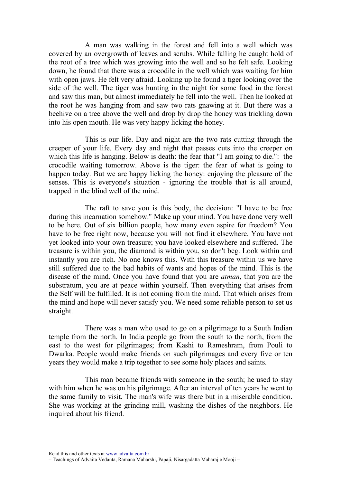A man was walking in the forest and fell into a well which was covered by an overgrowth of leaves and scrubs. While falling he caught hold of the root of a tree which was growing into the well and so he felt safe. Looking down, he found that there was a crocodile in the well which was waiting for him with open jaws. He felt very afraid. Looking up he found a tiger looking over the side of the well. The tiger was hunting in the night for some food in the forest and saw this man, but almost immediately he fell into the well. Then he looked at the root he was hanging from and saw two rats gnawing at it. But there was a beehive on a tree above the well and drop by drop the honey was trickling down into his open mouth. He was very happy licking the honey.

This is our life. Day and night are the two rats cutting through the creeper of your life. Every day and night that passes cuts into the creeper on which this life is hanging. Below is death: the fear that "I am going to die.": the crocodile waiting tomorrow. Above is the tiger: the fear of what is going to happen today. But we are happy licking the honey: enjoying the pleasure of the senses. This is everyone's situation - ignoring the trouble that is all around, trapped in the blind well of the mind.

The raft to save you is this body, the decision: "I have to be free during this incarnation somehow." Make up your mind. You have done very well to be here. Out of six billion people, how many even aspire for freedom? You have to be free right now, because you will not find it elsewhere. You have not yet looked into your own treasure; you have looked elsewhere and suffered. The treasure is within you, the diamond is within you, so don't beg. Look within and instantly you are rich. No one knows this. With this treasure within us we have still suffered due to the bad habits of wants and hopes of the mind. This is the disease of the mind. Once you have found that you are atman, that you are the substratum, you are at peace within yourself. Then everything that arises from the Self will be fulfilled. It is not coming from the mind. That which arises from the mind and hope will never satisfy you. We need some reliable person to set us straight.

There was a man who used to go on a pilgrimage to a South Indian temple from the north. In India people go from the south to the north, from the east to the west for pilgrimages; from Kashi to Rameshram, from Pouli to Dwarka. People would make friends on such pilgrimages and every five or ten years they would make a trip together to see some holy places and saints.

This man became friends with someone in the south; he used to stay with him when he was on his pilgrimage. After an interval of ten years he went to the same family to visit. The man's wife was there but in a miserable condition. She was working at the grinding mill, washing the dishes of the neighbors. He inquired about his friend.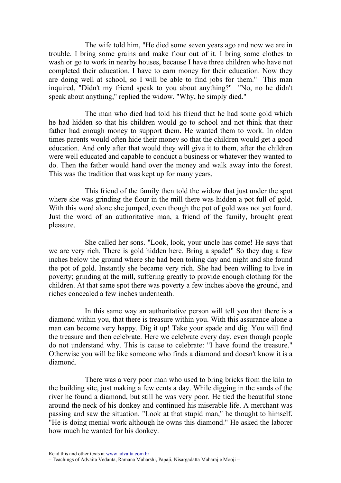The wife told him, "He died some seven years ago and now we are in trouble. I bring some grains and make flour out of it. I bring some clothes to wash or go to work in nearby houses, because I have three children who have not completed their education. I have to earn money for their education. Now they are doing well at school, so I will be able to find jobs for them." This man inquired, "Didn't my friend speak to you about anything?" "No, no he didn't speak about anything," replied the widow. "Why, he simply died."

The man who died had told his friend that he had some gold which he had hidden so that his children would go to school and not think that their father had enough money to support them. He wanted them to work. In olden times parents would often hide their money so that the children would get a good education. And only after that would they will give it to them, after the children were well educated and capable to conduct a business or whatever they wanted to do. Then the father would hand over the money and walk away into the forest. This was the tradition that was kept up for many years.

This friend of the family then told the widow that just under the spot where she was grinding the flour in the mill there was hidden a pot full of gold. With this word alone she jumped, even though the pot of gold was not yet found. Just the word of an authoritative man, a friend of the family, brought great pleasure.

She called her sons. "Look, look, your uncle has come! He says that we are very rich. There is gold hidden here. Bring a spade!" So they dug a few inches below the ground where she had been toiling day and night and she found the pot of gold. Instantly she became very rich. She had been willing to live in poverty; grinding at the mill, suffering greatly to provide enough clothing for the children. At that same spot there was poverty a few inches above the ground, and riches concealed a few inches underneath.

In this same way an authoritative person will tell you that there is a diamond within you, that there is treasure within you. With this assurance alone a man can become very happy. Dig it up! Take your spade and dig. You will find the treasure and then celebrate. Here we celebrate every day, even though people do not understand why. This is cause to celebrate: "I have found the treasure." Otherwise you will be like someone who finds a diamond and doesn't know it is a diamond.

There was a very poor man who used to bring bricks from the kiln to the building site, just making a few cents a day. While digging in the sands of the river he found a diamond, but still he was very poor. He tied the beautiful stone around the neck of his donkey and continued his miserable life. A merchant was passing and saw the situation. "Look at that stupid man," he thought to himself. "He is doing menial work although he owns this diamond." He asked the laborer how much he wanted for his donkey.